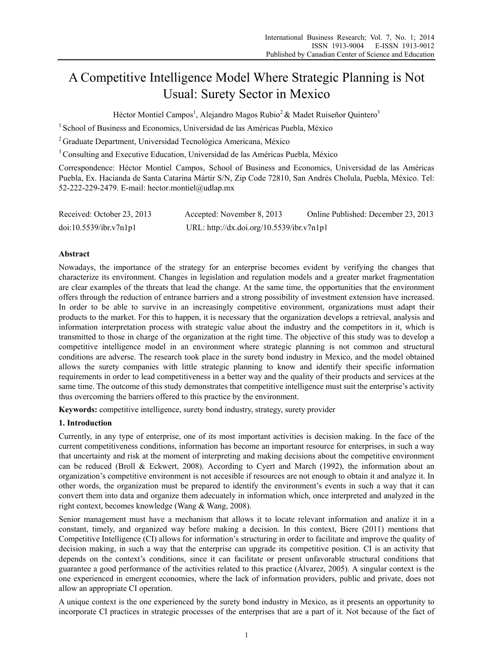# A Competitive Intelligence Model Where Strategic Planning is Not Usual: Surety Sector in Mexico

Héctor Montiel Campos<sup>1</sup>, Alejandro Magos Rubio<sup>2</sup> & Madet Ruiseñor Quintero<sup>3</sup>

<sup>1</sup> School of Business and Economics, Universidad de las Américas Puebla, México

2 Graduate Department, Universidad Tecnológica Americana, México

3 Consulting and Executive Education, Universidad de las Américas Puebla, México

Correspondence: Héctor Montiel Campos, School of Business and Economics, Universidad de las Américas Puebla, Ex. Hacianda de Santa Catarina Mártir S/N, Zip Code 72810, San Andrés Cholula, Puebla, México. Tel: 52-222-229-2479. E-mail: hector.montiel@udlap.mx

| Received: October 23, 2013 | Accepted: November 8, 2013                | Online Published: December 23, 2013 |
|----------------------------|-------------------------------------------|-------------------------------------|
| doi:10.5539/ibr.v7n1p1     | URL: http://dx.doi.org/10.5539/ibr.v7n1p1 |                                     |

#### **Abstract**

Nowadays, the importance of the strategy for an enterprise becomes evident by verifying the changes that characterize its environment. Changes in legislation and regulation models and a greater market fragmentation are clear examples of the threats that lead the change. At the same time, the opportunities that the environment offers through the reduction of entrance barriers and a strong possibility of investment extension have increased. In order to be able to survive in an increasingly competitive environment, organizations must adapt their products to the market. For this to happen, it is necessary that the organization develops a retrieval, analysis and information interpretation process with strategic value about the industry and the competitors in it, which is transmitted to those in charge of the organization at the right time. The objective of this study was to develop a competitive intelligence model in an environment where strategic planning is not common and structural conditions are adverse. The research took place in the surety bond industry in Mexico, and the model obtained allows the surety companies with little strategic planning to know and identify their specific information requirements in order to lead competitiveness in a better way and the quality of their products and services at the same time. The outcome of this study demonstrates that competitive intelligence must suit the enterprise's activity thus overcoming the barriers offered to this practice by the environment.

**Keywords:** competitive intelligence, surety bond industry, strategy, surety provider

#### **1. Introduction**

Currently, in any type of enterprise, one of its most important activities is decision making. In the face of the current competitiveness conditions, information has become an important resource for enterprises, in such a way that uncertainty and risk at the moment of interpreting and making decisions about the competitive environment can be reduced (Broll & Eckwert, 2008). According to Cyert and March (1992), the information about an organization's competitive environment is not accesible if resources are not enough to obtain it and analyze it. In other words, the organization must be prepared to identify the environment's events in such a way that it can convert them into data and organize them adecuately in information which, once interpreted and analyzed in the right context, becomes knowledge (Wang & Wang, 2008).

Senior management must have a mechanism that allows it to locate relevant information and analize it in a constant, timely, and organized way before making a decision. In this context, Biere (2011) mentions that Competitive Intelligence (CI) allows for information's structuring in order to facilitate and improve the quality of decision making, in such a way that the enterprise can upgrade its competitive position. CI is an activity that depends on the context's conditions, since it can facilitate or present unfavorable structural conditions that guarantee a good performance of the activities related to this practice (Álvarez, 2005). A singular context is the one experienced in emergent economies, where the lack of information providers, public and private, does not allow an appropriate CI operation.

A unique context is the one experienced by the surety bond industry in Mexico, as it presents an opportunity to incorporate CI practices in strategic processes of the enterprises that are a part of it. Not because of the fact of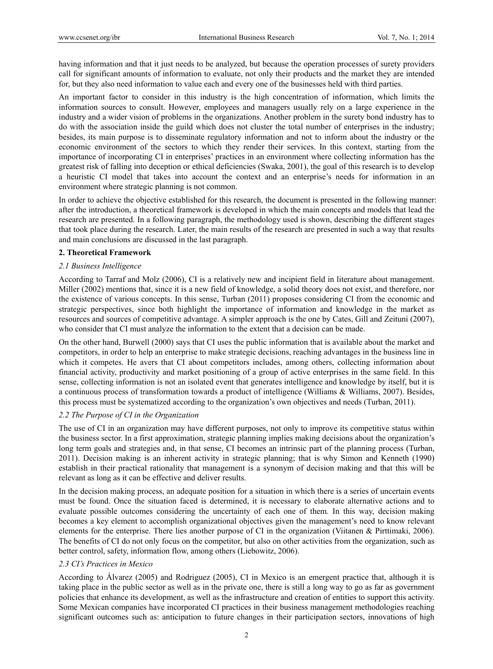having information and that it just needs to be analyzed, but because the operation processes of surety providers call for significant amounts of information to evaluate, not only their products and the market they are intended for, but they also need information to value each and every one of the businesses held with third parties.

An important factor to consider in this industry is the high concentration of information, which limits the information sources to consult. However, employees and managers usually rely on a large experience in the industry and a wider vision of problems in the organizations. Another problem in the surety bond industry has to do with the association inside the guild which does not cluster the total number of enterprises in the industry; besides, its main purpose is to disseminate regulatory information and not to inform about the industry or the economic environment of the sectors to which they render their services. In this context, starting from the importance of incorporating CI in enterprises' practices in an environment where collecting information has the greatest risk of falling into deception or ethical deficiencies (Swaka, 2001), the goal of this research is to develop a heuristic CI model that takes into account the context and an enterprise's needs for information in an environment where strategic planning is not common.

In order to achieve the objective established for this research, the document is presented in the following manner: after the introduction, a theoretical framework is developed in which the main concepts and models that lead the research are presented. In a following paragraph, the methodology used is shown, describing the different stages that took place during the research. Later, the main results of the research are presented in such a way that results and main conclusions are discussed in the last paragraph.

## **2. Theoretical Framework**

# *2.1 Business Intelligence*

According to Tarraf and Molz (2006), CI is a relatively new and incipient field in literature about management. Miller (2002) mentions that, since it is a new field of knowledge, a solid theory does not exist, and therefore, nor the existence of various concepts. In this sense, Turban (2011) proposes considering CI from the economic and strategic perspectives, since both highlight the importance of information and knowledge in the market as resources and sources of competitive advantage. A simpler approach is the one by Cates, Gill and Zeituni (2007), who consider that CI must analyze the information to the extent that a decision can be made.

On the other hand, Burwell (2000) says that CI uses the public information that is available about the market and competitors, in order to help an enterprise to make strategic decisions, reaching advantages in the business line in which it competes. He avers that CI about competitors includes, among others, collecting information about financial activity, productivity and market positioning of a group of active enterprises in the same field. In this sense, collecting information is not an isolated event that generates intelligence and knowledge by itself, but it is a continuous process of transformation towards a product of intelligence (Williams & Williams, 2007). Besides, this process must be systematized according to the organization's own objectives and needs (Turban, 2011).

## *2.2 The Purpose of CI in the Organization*

The use of CI in an organization may have different purposes, not only to improve its competitive status within the business sector. In a first approximation, strategic planning implies making decisions about the organization's long term goals and strategies and, in that sense, CI becomes an intrinsic part of the planning process (Turban, 2011). Decision making is an inherent activity in strategic planning; that is why Simon and Kenneth (1990) establish in their practical rationality that management is a synonym of decision making and that this will be relevant as long as it can be effective and deliver results.

In the decision making process, an adequate position for a situation in which there is a series of uncertain events must be found. Once the situation faced is determined, it is necessary to elaborate alternative actions and to evaluate possible outcomes considering the uncertainty of each one of them. In this way, decision making becomes a key element to accomplish organizational objectives given the management's need to know relevant elements for the enterprise. There lies another purpose of CI in the organization (Viitanen & Pirttimaki, 2006). The benefits of CI do not only focus on the competitor, but also on other activities from the organization, such as better control, safety, information flow, among others (Liebowitz, 2006).

#### *2.3 CI's Practices in Mexico*

According to Álvarez (2005) and Rodriguez (2005), CI in Mexico is an emergent practice that, although it is taking place in the public sector as well as in the private one, there is still a long way to go as far as government policies that enhance its development, as well as the infrastructure and creation of entities to support this activity. Some Mexican companies have incorporated CI practices in their business management methodologies reaching significant outcomes such as: anticipation to future changes in their participation sectors, innovations of high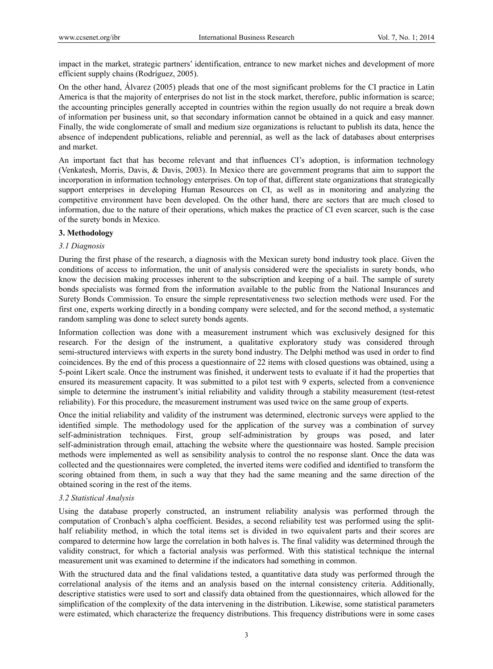impact in the market, strategic partners' identification, entrance to new market niches and development of more efficient supply chains (Rodríguez, 2005).

On the other hand, Álvarez (2005) pleads that one of the most significant problems for the CI practice in Latin America is that the majority of enterprises do not list in the stock market, therefore, public information is scarce; the accounting principles generally accepted in countries within the region usually do not require a break down of information per business unit, so that secondary information cannot be obtained in a quick and easy manner. Finally, the wide conglomerate of small and medium size organizations is reluctant to publish its data, hence the absence of independent publications, reliable and perennial, as well as the lack of databases about enterprises and market.

An important fact that has become relevant and that influences CI's adoption, is information technology (Venkatesh, Morris, Davis, & Davis, 2003). In Mexico there are government programs that aim to support the incorporation in information technology enterprises. On top of that, different state organizations that strategically support enterprises in developing Human Resources on CI, as well as in monitoring and analyzing the competitive environment have been developed. On the other hand, there are sectors that are much closed to information, due to the nature of their operations, which makes the practice of CI even scarcer, such is the case of the surety bonds in Mexico.

#### **3. Methodology**

#### *3.1 Diagnosis*

During the first phase of the research, a diagnosis with the Mexican surety bond industry took place. Given the conditions of access to information, the unit of analysis considered were the specialists in surety bonds, who know the decision making processes inherent to the subscription and keeping of a bail. The sample of surety bonds specialists was formed from the information available to the public from the National Insurances and Surety Bonds Commission. To ensure the simple representativeness two selection methods were used. For the first one, experts working directly in a bonding company were selected, and for the second method, a systematic random sampling was done to select surety bonds agents.

Information collection was done with a measurement instrument which was exclusively designed for this research. For the design of the instrument, a qualitative exploratory study was considered through semi-structured interviews with experts in the surety bond industry. The Delphi method was used in order to find coincidences. By the end of this process a questionnaire of 22 items with closed questions was obtained, using a 5-point Likert scale. Once the instrument was finished, it underwent tests to evaluate if it had the properties that ensured its measurement capacity. It was submitted to a pilot test with 9 experts, selected from a convenience simple to determine the instrument's initial reliability and validity through a stability measurement (test-retest reliability). For this procedure, the measurement instrument was used twice on the same group of experts.

Once the initial reliability and validity of the instrument was determined, electronic surveys were applied to the identified simple. The methodology used for the application of the survey was a combination of survey self-administration techniques. First, group self-administration by groups was posed, and later self-administration through email, attaching the website where the questionnaire was hosted. Sample precision methods were implemented as well as sensibility analysis to control the no response slant. Once the data was collected and the questionnaires were completed, the inverted items were codified and identified to transform the scoring obtained from them, in such a way that they had the same meaning and the same direction of the obtained scoring in the rest of the items.

#### *3.2 Statistical Analysis*

Using the database properly constructed, an instrument reliability analysis was performed through the computation of Cronbach's alpha coefficient. Besides, a second reliability test was performed using the splithalf reliability method, in which the total items set is divided in two equivalent parts and their scores are compared to determine how large the correlation in both halves is. The final validity was determined through the validity construct, for which a factorial analysis was performed. With this statistical technique the internal measurement unit was examined to determine if the indicators had something in common.

With the structured data and the final validations tested, a quantitative data study was performed through the correlational analysis of the items and an analysis based on the internal consistency criteria. Additionally, descriptive statistics were used to sort and classify data obtained from the questionnaires, which allowed for the simplification of the complexity of the data intervening in the distribution. Likewise, some statistical parameters were estimated, which characterize the frequency distributions. This frequency distributions were in some cases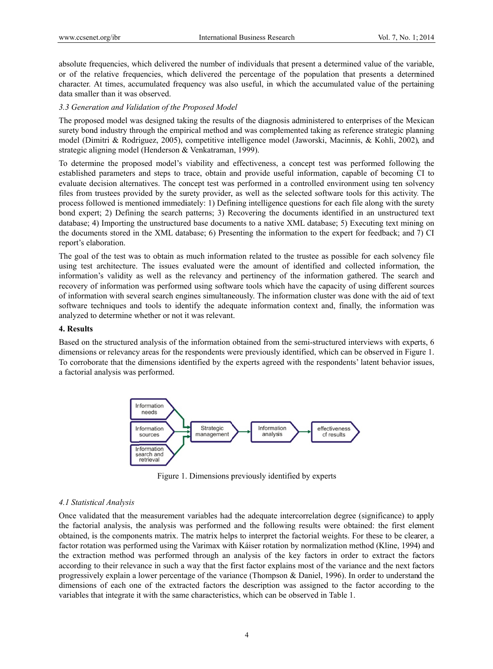absolute frequencies, which delivered the number of individuals that present a determined value of the variable, or of the relative frequencies, which delivered the percentage of the population that presents a determined character. At times, accumulated frequency was also useful, in which the accumulated value of the pertaining data smaller than it was observed.

#### 3.3 Generation and Validation of the Proposed Model

The proposed model was designed taking the results of the diagnosis administered to enterprises of the Mexican surety bond industry through the empirical method and was complemented taking as reference strategic planning model (Dimitri & Rodriguez, 2005), competitive intelligence model (Jaworski, Macinnis, & Kohli, 2002), and strategic aligning model (Henderson & Venkatraman, 1999).

To determine the proposed model's viability and effectiveness, a concept test was performed following the established parameters and steps to trace, obtain and provide useful information, capable of becoming CI to evaluate decision alternatives. The concept test was performed in a controlled environment using ten solvency files from trustees provided by the surety provider, as well as the selected software tools for this activity. The process followed is mentioned immediately: 1) Defining intelligence questions for each file along with the surety bond expert; 2) Defining the search patterns; 3) Recovering the documents identified in an unstructured text database; 4) Importing the unstructured base documents to a native XML database; 5) Executing text mining on the documents stored in the XML database; 6) Presenting the information to the expert for feedback; and 7) CI report's elaboration.

The goal of the test was to obtain as much information related to the trustee as possible for each solvency file using test architecture. The issues evaluated were the amount of identified and collected information, the information's validity as well as the relevancy and pertinency of the information gathered. The search and recovery of information was performed using software tools which have the capacity of using different sources of information with several search engines simultaneously. The information cluster was done with the aid of text software techniques and tools to identify the adequate information context and, finally, the information was analyzed to determine whether or not it was relevant.

#### 4. Results

Based on the structured analysis of the information obtained from the semi-structured interviews with experts, 6 dimensions or relevancy areas for the respondents were previously identified, which can be observed in Figure 1. To corroborate that the dimensions identified by the experts agreed with the respondents' latent behavior issues, a factorial analysis was performed.



Figure 1. Dimensions previously identified by experts

# 4.1 Statistical Analysis

Once validated that the measurement variables had the adequate intercorrelation degree (significance) to apply the factorial analysis, the analysis was performed and the following results were obtained: the first element obtained, is the components matrix. The matrix helps to interpret the factorial weights. For these to be clearer, a factor rotation was performed using the Varimax with Káiser rotation by normalization method (Kline, 1994) and the extraction method was performed through an analysis of the key factors in order to extract the factors according to their relevance in such a way that the first factor explains most of the variance and the next factors progressively explain a lower percentage of the variance (Thompson & Daniel, 1996). In order to understand the dimensions of each one of the extracted factors the description was assigned to the factor according to the variables that integrate it with the same characteristics, which can be observed in Table 1.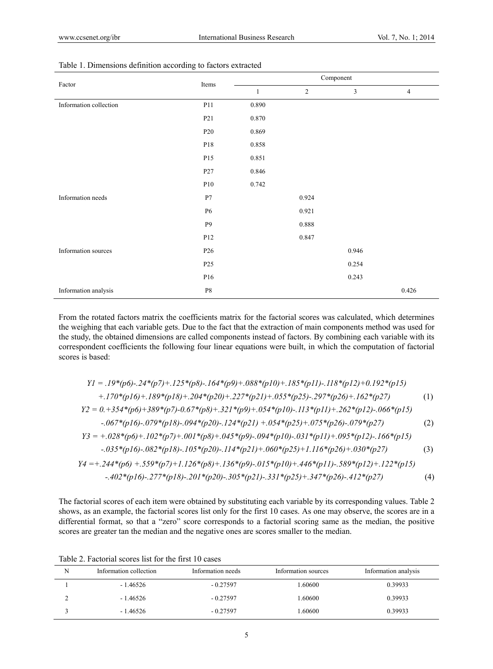| $\ensuremath{\textsc{Factor}}$ | Items           | Component    |                |                         |                |  |  |
|--------------------------------|-----------------|--------------|----------------|-------------------------|----------------|--|--|
|                                |                 | $\mathbf{1}$ | $\overline{2}$ | $\overline{\mathbf{3}}$ | $\overline{4}$ |  |  |
| Information collection         | P11             | 0.890        |                |                         |                |  |  |
|                                | P21             | 0.870        |                |                         |                |  |  |
|                                | P <sub>20</sub> | 0.869        |                |                         |                |  |  |
|                                | P18             | 0.858        |                |                         |                |  |  |
|                                | P15             | 0.851        |                |                         |                |  |  |
|                                | P27             | 0.846        |                |                         |                |  |  |
|                                | P10             | 0.742        |                |                         |                |  |  |
| Information needs              | $\mathbf{P}7$   |              | 0.924          |                         |                |  |  |
|                                | <b>P6</b>       |              | 0.921          |                         |                |  |  |
|                                | P <sub>9</sub>  |              | 0.888          |                         |                |  |  |
|                                | P12             |              | 0.847          |                         |                |  |  |
| Information sources            | P <sub>26</sub> |              |                | 0.946                   |                |  |  |
|                                | P <sub>25</sub> |              |                | 0.254                   |                |  |  |
|                                | P16             |              |                | 0.243                   |                |  |  |
| Information analysis           | $\mathbf{P8}$   |              |                |                         | 0.426          |  |  |

#### Table 1. Dimensions definition according to factors extracted

From the rotated factors matrix the coefficients matrix for the factorial scores was calculated, which determines the weighing that each variable gets. Due to the fact that the extraction of main components method was used for the study, the obtained dimensions are called components instead of factors. By combining each variable with its correspondent coefficients the following four linear equations were built, in which the computation of factorial scores is based:

$$
Y1 = .19*(p6)-.24*(p7)+.125*(p8)-.164*(p9)+.088*(p10)+.185*(p11)-.118*(p12)+0.192*(p15)
$$
  
+.170\*(p16)+.189\*(p18)+.204\*(p20)+.227\*(p21)+.055\*(p25)-.297\*(p26)+.162\*(p27) (1)  

$$
Y2 = 0.+354*(p6)+389*(p7)-0.67*(p8)+.321*(p9)+.054*(p10)-.113*(p11)+.262*(p12)-.066*(p15)
$$
  
-.067\*(p16)-.079\*(p18)-.094\*(p20)-.124\*(p21)+.054\*(p25)+.075\*(p26)-.079\*(p27) (2)  

$$
Y3 = +.028*(p6)+.102*(p7)+.001*(p8)+.045*(p9)-.094*(p10)-.031*(p11)+.095*(p12)-.166*(p15)
$$
  
-.035\*(p16)-.082\*(p18)-.105\*(p20)-.114\*(p21)+.060\*(p25)+1.116\*(p26)+.030\*(p27) (3)  

$$
Y4 = +.244*(p6) +.559*(p7)+1.126*(p8)+.136*(p9)-.015*(p10)+.446*(p11)-.589*(p12)+.122*(p15)
$$
  
-.402\*(p16)-.277\*(p18)-.201\*(p20)-.305\*(p21)-.331\*(p25)+.347\*(p26)-.412\*(p27) (4)

The factorial scores of each item were obtained by substituting each variable by its corresponding values. Table 2 shows, as an example, the factorial scores list only for the first 10 cases. As one may observe, the scores are in a differential format, so that a "zero" score corresponds to a factorial scoring same as the median, the positive scores are greater tan the median and the negative ones are scores smaller to the median.

| N | Information collection | Information needs | Information sources | Information analysis |
|---|------------------------|-------------------|---------------------|----------------------|
|   | - 1.46526              | $-0.27597$        | .60600              | 0.39933              |
|   | $-1.46526$             | $-0.27597$        | .60600              | 0.39933              |
|   | $-1.46526$             | $-0.27597$        | .60600              | 0.39933              |

Table 2. Factorial scores list for the first 10 cases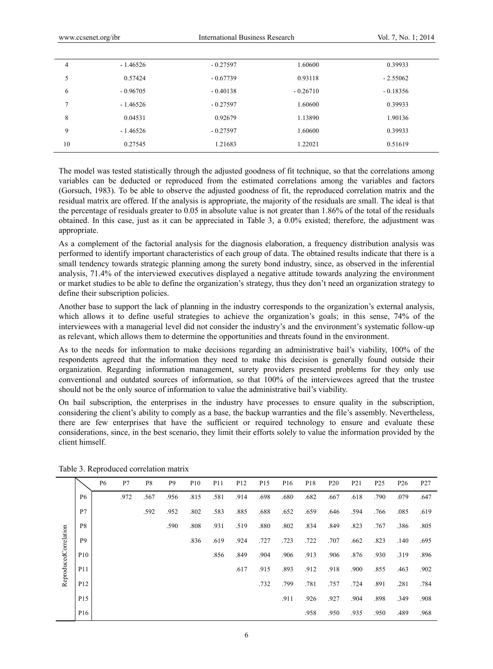| 4  | $-1.46526$ | $-0.27597$ | 1.60600    | 0.39933    |
|----|------------|------------|------------|------------|
|    | 0.57424    | $-0.67739$ | 0.93118    | $-2.55062$ |
| 6  | $-0.96705$ | $-0.40138$ | $-0.26710$ | $-0.18356$ |
|    | $-1.46526$ | $-0.27597$ | 1.60600    | 0.39933    |
| 8  | 0.04531    | 0.92679    | 1.13890    | 1.90136    |
| 9  | $-1.46526$ | $-0.27597$ | 1.60600    | 0.39933    |
| 10 | 0.27545    | 1.21683    | 1.22021    | 0.51619    |

The model was tested statistically through the adjusted goodness of fit technique, so that the correlations among variables can be deducted or reproduced from the estimated correlations among the variables and factors (Gorsuch, 1983). To be able to observe the adjusted goodness of fit, the reproduced correlation matrix and the residual matrix are offered. If the analysis is appropriate, the majority of the residuals are small. The ideal is that the percentage of residuals greater to 0.05 in absolute value is not greater than 1.86% of the total of the residuals obtained. In this case, just as it can be appreciated in Table 3, a 0.0% existed; therefore, the adjustment was appropriate.

As a complement of the factorial analysis for the diagnosis elaboration, a frequency distribution analysis was performed to identify important characteristics of each group of data. The obtained results indicate that there is a small tendency towards strategic planning among the surety bond industry, since, as observed in the inferential analysis, 71.4% of the interviewed executives displayed a negative attitude towards analyzing the environment or market studies to be able to define the organization's strategy, thus they don't need an organization strategy to define their subscription policies.

Another base to support the lack of planning in the industry corresponds to the organization's external analysis, which allows it to define useful strategies to achieve the organization's goals; in this sense, 74% of the interviewees with a managerial level did not consider the industry's and the environment's systematic follow-up as relevant, which allows them to determine the opportunities and threats found in the environment.

As to the needs for information to make decisions regarding an administrative bail's viability, 100% of the respondents agreed that the information they need to make this decision is generally found outside their organization. Regarding information management, surety providers presented problems for they only use conventional and outdated sources of information, so that 100% of the interviewees agreed that the trustee should not be the only source of information to value the administrative bail's viability.

On bail subscription, the enterprises in the industry have processes to ensure quality in the subscription, considering the client's ability to comply as a base, the backup warranties and the file's assembly. Nevertheless, there are few enterprises that have the sufficient or required technology to ensure and evaluate these considerations, since, in the best scenario, they limit their efforts solely to value the information provided by the client himself.

|                       |                 | <b>P6</b> | P7   | P8   | P9   | P10  | P11  | P12  | P15  | P <sub>16</sub> | P18  | P <sub>20</sub> | P <sub>21</sub> | P <sub>25</sub> | P <sub>26</sub> | P27  |
|-----------------------|-----------------|-----------|------|------|------|------|------|------|------|-----------------|------|-----------------|-----------------|-----------------|-----------------|------|
|                       | <b>P6</b>       |           | .972 | .567 | .956 | .815 | .581 | .914 | .698 | .680            | .682 | .667            | .618            | .790            | .079            | .647 |
|                       | P7              |           |      | .592 | .952 | .802 | .583 | .885 | .688 | .652            | .659 | .646            | .594            | .766            | .085            | .619 |
|                       | P8              |           |      |      | .590 | .808 | .931 | .519 | .880 | .802            | .834 | .849            | .823            | .767            | .386            | .805 |
| ReproducedCorrelation | P9              |           |      |      |      | .836 | .619 | .924 | .727 | .723            | .722 | .707            | .662            | .823            | .140            | .695 |
|                       | P <sub>10</sub> |           |      |      |      |      | .856 | .849 | .904 | .906            | .913 | .906            | .876            | .930            | .319            | .896 |
|                       | P11             |           |      |      |      |      |      | .617 | .915 | .893            | .912 | .918            | .900            | .855            | .463            | .902 |
|                       | P <sub>12</sub> |           |      |      |      |      |      |      | .732 | .799            | .781 | .757            | .724            | .891            | .281            | .784 |
|                       | P <sub>15</sub> |           |      |      |      |      |      |      |      | .911            | .926 | .927            | .904            | .898            | .349            | .908 |
|                       | P <sub>16</sub> |           |      |      |      |      |      |      |      |                 | .958 | .950            | .935            | .950            | .489            | .968 |
|                       |                 |           |      |      |      |      |      |      |      |                 |      |                 |                 |                 |                 |      |

Table 3. Reproduced correlation matrix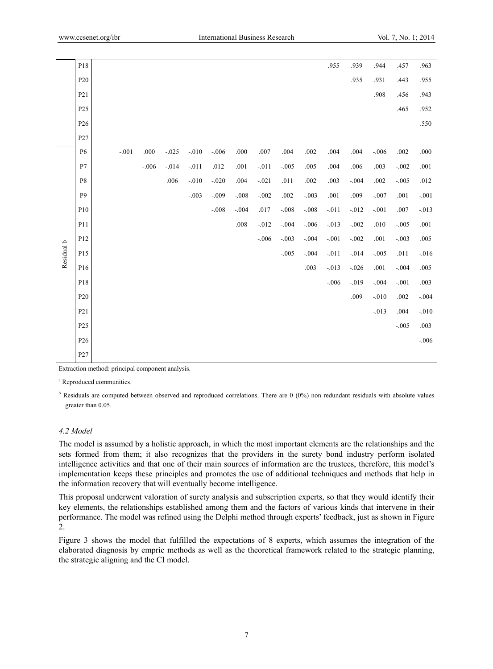|            | P18             |         |         |         |         |         |         |          |         |          | .955     | .939     | .944    | .457    | .963     |
|------------|-----------------|---------|---------|---------|---------|---------|---------|----------|---------|----------|----------|----------|---------|---------|----------|
|            | P <sub>20</sub> |         |         |         |         |         |         |          |         |          |          | .935     | .931    | .443    | .955     |
|            | P <sub>21</sub> |         |         |         |         |         |         |          |         |          |          |          | .908    | .456    | .943     |
|            | P <sub>25</sub> |         |         |         |         |         |         |          |         |          |          |          |         | .465    | .952     |
|            | P <sub>26</sub> |         |         |         |         |         |         |          |         |          |          |          |         |         | .550     |
|            | P27             |         |         |         |         |         |         |          |         |          |          |          |         |         |          |
|            | P6              | $-.001$ | .000    | $-.025$ | $-.010$ | $-.006$ | .000    | .007     | .004    | $.002$   | .004     | .004     | $-.006$ | .002    | .000     |
|            | P7              |         | $-.006$ | $-.014$ | $-.011$ | .012    | .001    | $-.011$  | $-.005$ | .005     | .004     | .006     | .003    | $-.002$ | $.001\,$ |
|            | P8              |         |         | .006    | $-.010$ | $-.020$ | .004    | $-.021$  | .011    | $.002\,$ | .003     | $-.004$  | .002    | $-.005$ | .012     |
|            | P9              |         |         |         | $-.003$ | $-.009$ | $-.008$ | $-.002$  | .002    | $-.003$  | .001     | .009     | $-.007$ | .001    | $-.001$  |
|            | P10             |         |         |         |         | $-.008$ | $-.004$ | .017     | $-.008$ | $-.008$  | $-.011$  | $-0.012$ | $-.001$ | .007    | $-.013$  |
|            | P11             |         |         |         |         |         | $.008$  | $-0.012$ | $-.004$ | $-.006$  | $-0.013$ | $-.002$  | .010    | $-.005$ | $.001$   |
|            | P12             |         |         |         |         |         |         | $-.006$  | $-.003$ | $-.004$  | $-.001$  | $-.002$  | .001    | $-.003$ | .005     |
| Residual b | P15             |         |         |         |         |         |         |          | $-.005$ | $-.004$  | $-.011$  | $-.014$  | $-.005$ | .011    | $-0.016$ |
|            | P16             |         |         |         |         |         |         |          |         | .003     | $-0.013$ | $-.026$  | .001    | $-.004$ | .005     |
|            | P18             |         |         |         |         |         |         |          |         |          | $-.006$  | $-.019$  | $-.004$ | $-.001$ | $.003$   |
|            | P <sub>20</sub> |         |         |         |         |         |         |          |         |          |          | .009     | $-.010$ | .002    | $-.004$  |
|            | P21             |         |         |         |         |         |         |          |         |          |          |          | $-.013$ | .004    | $-.010$  |
|            | P <sub>25</sub> |         |         |         |         |         |         |          |         |          |          |          |         | $-.005$ | .003     |
|            | P <sub>26</sub> |         |         |         |         |         |         |          |         |          |          |          |         |         | $-.006$  |
|            | P27             |         |         |         |         |         |         |          |         |          |          |          |         |         |          |

Extraction method: principal component analysis.

a Reproduced communities.

<sup>b</sup> Residuals are computed between observed and reproduced correlations. There are 0 (0%) non redundant residuals with absolute values greater than 0.05.

# *4.2 Model*

The model is assumed by a holistic approach, in which the most important elements are the relationships and the sets formed from them; it also recognizes that the providers in the surety bond industry perform isolated intelligence activities and that one of their main sources of information are the trustees, therefore, this model's implementation keeps these principles and promotes the use of additional techniques and methods that help in the information recovery that will eventually become intelligence.

This proposal underwent valoration of surety analysis and subscription experts, so that they would identify their key elements, the relationships established among them and the factors of various kinds that intervene in their performance. The model was refined using the Delphi method through experts' feedback, just as shown in Figure 2.

Figure 3 shows the model that fulfilled the expectations of 8 experts, which assumes the integration of the elaborated diagnosis by empric methods as well as the theoretical framework related to the strategic planning, the strategic aligning and the CI model.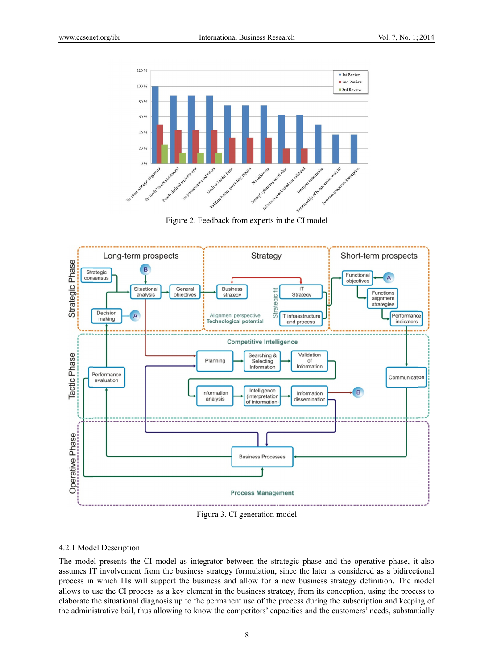

Figure 2. Feedback from experts in the CI model



Figura 3. CI generation model

#### 4.2.1 Model Description

The model presents the CI model as integrator between the strategic phase and the operative phase, it also assumes IT involvement from the business strategy formulation, since the later is considered as a bidirectional process in which ITs will support the business and allow for a new business strategy definition. The model allows to use the CI process as a key element in the business strategy, from its conception, using the process to elaborate the situational diagnosis up to the permanent use of the process during the subscription and keeping of the administrative bail, thus allowing to know the competitors' capacities and the customers' needs, substantially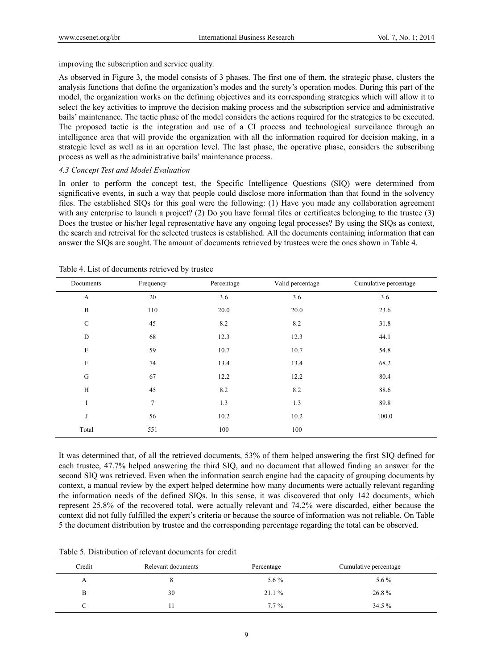improving the subscription and service quality.

As observed in Figure 3, the model consists of 3 phases. The first one of them, the strategic phase, clusters the analysis functions that define the organization's modes and the surety's operation modes. During this part of the model, the organization works on the defining objectives and its corresponding strategies which will allow it to select the key activities to improve the decision making process and the subscription service and administrative bails' maintenance. The tactic phase of the model considers the actions required for the strategies to be executed. The proposed tactic is the integration and use of a CI process and technological surveilance through an intelligence area that will provide the organization with all the information required for decision making, in a strategic level as well as in an operation level. The last phase, the operative phase, considers the subscribing process as well as the administrative bails' maintenance process.

## *4.3 Concept Test and Model Evaluation*

In order to perform the concept test, the Specific Intelligence Questions (SIQ) were determined from significative events, in such a way that people could disclose more information than that found in the solvency files. The established SIQs for this goal were the following: (1) Have you made any collaboration agreement with any enterprise to launch a project? (2) Do you have formal files or certificates belonging to the trustee (3) Does the trustee or his/her legal representative have any ongoing legal processes? By using the SIQs as context, the search and retreival for the selected trustees is established. All the documents containing information that can answer the SIQs are sought. The amount of documents retrieved by trustees were the ones shown in Table 4.

| Documents                 | $\tilde{\phantom{a}}$<br>Frequency | Percentage | Valid percentage | Cumulative percentage |
|---------------------------|------------------------------------|------------|------------------|-----------------------|
| A                         | 20                                 | 3.6        | 3.6              | 3.6                   |
| $\mathbf B$               | 110                                | 20.0       | 20.0             | 23.6                  |
| $\mathcal{C}$             | 45                                 | 8.2        | 8.2              | 31.8                  |
| ${\rm D}$                 | 68                                 | 12.3       | 12.3             | 44.1                  |
| $\mathbf E$               | 59                                 | 10.7       | 10.7             | 54.8                  |
| $\boldsymbol{\mathrm{F}}$ | 74                                 | 13.4       | 13.4             | 68.2                  |
| G                         | 67                                 | 12.2       | 12.2             | 80.4                  |
| H                         | 45                                 | 8.2        | 8.2              | 88.6                  |
| I                         | $\overline{7}$                     | 1.3        | 1.3              | 89.8                  |
| J                         | 56                                 | 10.2       | 10.2             | 100.0                 |
| Total                     | 551                                | 100        | 100              |                       |

It was determined that, of all the retrieved documents, 53% of them helped answering the first SIQ defined for each trustee, 47.7% helped answering the third SIQ, and no document that allowed finding an answer for the second SIQ was retrieved. Even when the information search engine had the capacity of grouping documents by context, a manual review by the expert helped determine how many documents were actually relevant regarding the information needs of the defined SIQs. In this sense, it was discovered that only 142 documents, which represent 25.8% of the recovered total, were actually relevant and 74.2% were discarded, either because the context did not fully fulfilled the expert's criteria or because the source of information was not reliable. On Table 5 the document distribution by trustee and the corresponding percentage regarding the total can be observed.

Table 5. Distribution of relevant documents for credit

| Credit | Relevant documents | Percentage | Cumulative percentage |
|--------|--------------------|------------|-----------------------|
| А      | ō                  | $5.6\%$    | $5.6\%$               |
| в      | 30                 | 21.1%      | 26.8%                 |
|        |                    | $7.7\%$    | 34.5 %                |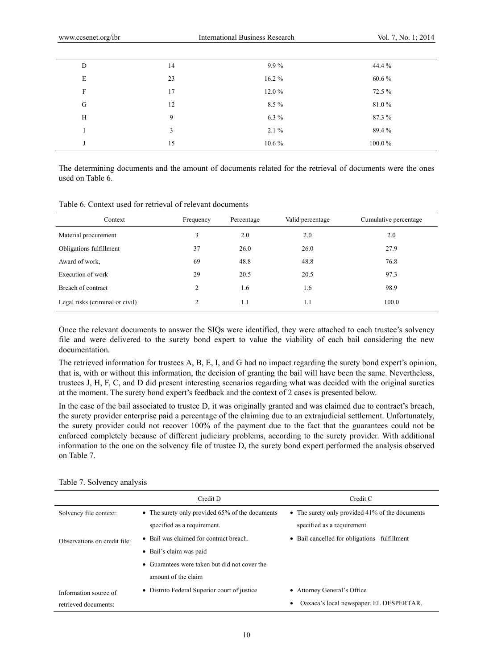| 44.4 %   | $9.9\%$  | 14 | D |
|----------|----------|----|---|
| $60.6\%$ | $16.2\%$ | 23 | E |
| 72.5 %   | $12.0\%$ | 17 | F |
| 81.0%    | $8.5\%$  | 12 | G |
| 87.3%    | $6.3\%$  | 9  | H |
| 89.4%    | $2.1\%$  | 3  |   |
| 100.0%   | $10.6\%$ | 15 |   |

The determining documents and the amount of documents related for the retrieval of documents were the ones used on Table 6.

| Table 6. Context used for retrieval of relevant documents |
|-----------------------------------------------------------|
|-----------------------------------------------------------|

| Context                         | Frequency      | Percentage | Valid percentage | Cumulative percentage |
|---------------------------------|----------------|------------|------------------|-----------------------|
| Material procurement            | 3              | 2.0        | 2.0              | 2.0                   |
| Obligations fulfillment         | 37             | 26.0       | 26.0             | 27.9                  |
| Award of work.                  | 69             | 48.8       | 48.8             | 76.8                  |
| Execution of work               | 29             | 20.5       | 20.5             | 97.3                  |
| Breach of contract              | $\overline{c}$ | 1.6        | 1.6              | 98.9                  |
| Legal risks (criminal or civil) | 2              | 1.1        | 1.1              | 100.0                 |

Once the relevant documents to answer the SIQs were identified, they were attached to each trustee's solvency file and were delivered to the surety bond expert to value the viability of each bail considering the new documentation.

The retrieved information for trustees A, B, E, I, and G had no impact regarding the surety bond expert's opinion, that is, with or without this information, the decision of granting the bail will have been the same. Nevertheless, trustees J, H, F, C, and D did present interesting scenarios regarding what was decided with the original sureties at the moment. The surety bond expert's feedback and the context of 2 cases is presented below.

In the case of the bail associated to trustee D, it was originally granted and was claimed due to contract's breach, the surety provider enterprise paid a percentage of the claiming due to an extrajudicial settlement. Unfortunately, the surety provider could not recover 100% of the payment due to the fact that the guarantees could not be enforced completely because of different judiciary problems, according to the surety provider. With additional information to the one on the solvency file of trustee D, the surety bond expert performed the analysis observed on Table 7.

|                              | Credit D                                          | Credit C                                        |
|------------------------------|---------------------------------------------------|-------------------------------------------------|
| Solvency file context:       | • The surety only provided $65%$ of the documents | • The surety only provided 41% of the documents |
|                              | specified as a requirement.                       | specified as a requirement.                     |
| Observations on credit file: | • Bail was claimed for contract breach.           | • Bail cancelled for obligations fulfillment    |
|                              | • Bail's claim was paid                           |                                                 |
|                              | • Guarantees were taken but did not cover the     |                                                 |
|                              | amount of the claim                               |                                                 |
| Information source of        | • Distrito Federal Superior court of justice      | • Attorney General's Office                     |
| retrieved documents:         |                                                   | Oaxaca's local newspaper. EL DESPERTAR.         |

| Table 7. Solvency analysis |
|----------------------------|
|----------------------------|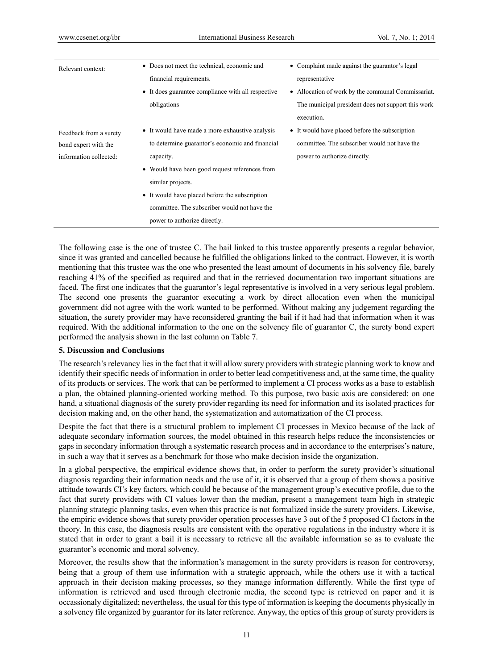| Relevant context:                                                        | • Does not meet the technical, economic and<br>financial requirements.<br>• It does guarantee compliance with all respective                                                     | • Complaint made against the guarantor's legal<br>representative<br>• Allocation of work by the communal Commissariat.                                                                             |
|--------------------------------------------------------------------------|----------------------------------------------------------------------------------------------------------------------------------------------------------------------------------|----------------------------------------------------------------------------------------------------------------------------------------------------------------------------------------------------|
| Feedback from a surety<br>bond expert with the<br>information collected: | obligations<br>• It would have made a more exhaustive analysis<br>to determine guarantor's economic and financial<br>capacity.<br>• Would have been good request references from | The municipal president does not support this work<br>execution.<br>• It would have placed before the subscription<br>committee. The subscriber would not have the<br>power to authorize directly. |
|                                                                          | similar projects.<br>• It would have placed before the subscription<br>committee. The subscriber would not have the<br>power to authorize directly.                              |                                                                                                                                                                                                    |

The following case is the one of trustee C. The bail linked to this trustee apparently presents a regular behavior, since it was granted and cancelled because he fulfilled the obligations linked to the contract. However, it is worth mentioning that this trustee was the one who presented the least amount of documents in his solvency file, barely reaching 41% of the specified as required and that in the retrieved documentation two important situations are faced. The first one indicates that the guarantor's legal representative is involved in a very serious legal problem. The second one presents the guarantor executing a work by direct allocation even when the municipal government did not agree with the work wanted to be performed. Without making any judgement regarding the situation, the surety provider may have reconsidered granting the bail if it had had that information when it was required. With the additional information to the one on the solvency file of guarantor C, the surety bond expert performed the analysis shown in the last column on Table 7.

#### **5. Discussion and Conclusions**

The research's relevancy lies in the fact that it will allow surety providers with strategic planning work to know and identify their specific needs of information in order to better lead competitiveness and, at the same time, the quality of its products or services. The work that can be performed to implement a CI process works as a base to establish a plan, the obtained planning-oriented working method. To this purpose, two basic axis are considered: on one hand, a situational diagnosis of the surety provider regarding its need for information and its isolated practices for decision making and, on the other hand, the systematization and automatization of the CI process.

Despite the fact that there is a structural problem to implement CI processes in Mexico because of the lack of adequate secondary information sources, the model obtained in this research helps reduce the inconsistencies or gaps in secondary information through a systematic research process and in accordance to the enterprises's nature, in such a way that it serves as a benchmark for those who make decision inside the organization.

In a global perspective, the empirical evidence shows that, in order to perform the surety provider's situational diagnosis regarding their information needs and the use of it, it is observed that a group of them shows a positive attitude towards CI's key factors, which could be because of the management group's executive profile, due to the fact that surety providers with CI values lower than the median, present a management team high in strategic planning strategic planning tasks, even when this practice is not formalized inside the surety providers. Likewise, the empiric evidence shows that surety provider operation processes have 3 out of the 5 proposed CI factors in the theory. In this case, the diagnosis results are consistent with the operative regulations in the industry where it is stated that in order to grant a bail it is necessary to retrieve all the available information so as to evaluate the guarantor's economic and moral solvency.

Moreover, the results show that the information's management in the surety providers is reason for controversy, being that a group of them use information with a strategic approach, while the others use it with a tactical approach in their decision making processes, so they manage information differently. While the first type of information is retrieved and used through electronic media, the second type is retrieved on paper and it is occassionaly digitalized; nevertheless, the usual for this type of information is keeping the documents physically in a solvency file organized by guarantor for its later reference. Anyway, the optics of this group of surety providers is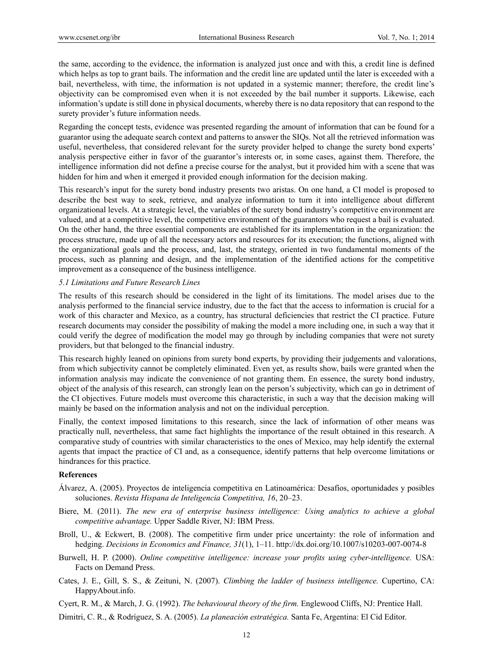the same, according to the evidence, the information is analyzed just once and with this, a credit line is defined which helps as top to grant bails. The information and the credit line are updated until the later is exceeded with a bail, nevertheless, with time, the information is not updated in a systemic manner; therefore, the credit line's objectivity can be compromised even when it is not exceeded by the bail number it supports. Likewise, each information's update is still done in physical documents, whereby there is no data repository that can respond to the surety provider's future information needs.

Regarding the concept tests, evidence was presented regarding the amount of information that can be found for a guarantor using the adequate search context and patterns to answer the SIQs. Not all the retrieved information was useful, nevertheless, that considered relevant for the surety provider helped to change the surety bond experts' analysis perspective either in favor of the guarantor's interests or, in some cases, against them. Therefore, the intelligence information did not define a precise course for the analyst, but it provided him with a scene that was hidden for him and when it emerged it provided enough information for the decision making.

This research's input for the surety bond industry presents two aristas. On one hand, a CI model is proposed to describe the best way to seek, retrieve, and analyze information to turn it into intelligence about different organizational levels. At a strategic level, the variables of the surety bond industry's competitive environment are valued, and at a competitive level, the competitive environment of the guarantors who request a bail is evaluated. On the other hand, the three essential components are established for its implementation in the organization: the process structure, made up of all the necessary actors and resources for its execution; the functions, aligned with the organizational goals and the process, and, last, the strategy, oriented in two fundamental moments of the process, such as planning and design, and the implementation of the identified actions for the competitive improvement as a consequence of the business intelligence.

#### *5.1 Limitations and Future Research Lines*

The results of this research should be considered in the light of its limitations. The model arises due to the analysis performed to the financial service industry, due to the fact that the access to information is crucial for a work of this character and Mexico, as a country, has structural deficiencies that restrict the CI practice. Future research documents may consider the possibility of making the model a more including one, in such a way that it could verify the degree of modification the model may go through by including companies that were not surety providers, but that belonged to the financial industry.

This research highly leaned on opinions from surety bond experts, by providing their judgements and valorations, from which subjectivity cannot be completely eliminated. Even yet, as results show, bails were granted when the information analysis may indicate the convenience of not granting them. En essence, the surety bond industry, object of the analysis of this research, can strongly lean on the person's subjectivity, which can go in detriment of the CI objectives. Future models must overcome this characteristic, in such a way that the decision making will mainly be based on the information analysis and not on the individual perception.

Finally, the context imposed limitations to this research, since the lack of information of other means was practically null, nevertheless, that same fact highlights the importance of the result obtained in this research. A comparative study of countries with similar characteristics to the ones of Mexico, may help identify the external agents that impact the practice of CI and, as a consequence, identify patterns that help overcome limitations or hindrances for this practice.

#### **References**

- Álvarez, A. (2005). Proyectos de inteligencia competitiva en Latinoamérica: Desafíos, oportunidades y posibles soluciones. *Revista Hispana de Inteligencia Competitiva, 16*, 20–23.
- Biere, M. (2011). *The new era of enterprise business intelligence: Using analytics to achieve a global competitive advantage.* Upper Saddle River, NJ: IBM Press.
- Broll, U., & Eckwert, B. (2008). The competitive firm under price uncertainty: the role of information and hedging. *Decisions in Economics and Finance, 31*(1), 1–11. http://dx.doi.org/10.1007/s10203-007-0074-8
- Burwell, H. P. (2000). *Online competitive intelligence: increase your profits using cyber-intelligence*. USA: Facts on Demand Press.
- Cates, J. E., Gill, S. S., & Zeituni, N. (2007). *Climbing the ladder of business intelligence.* Cupertino, CA: HappyAbout.info.
- Cyert, R. M., & March, J. G. (1992). *The behavioural theory of the firm.* Englewood Cliffs, NJ: Prentice Hall.
- Dimitri, C. R., & Rodríguez, S. A. (2005). *La planeación estratégica.* Santa Fe, Argentina: El Cid Editor.